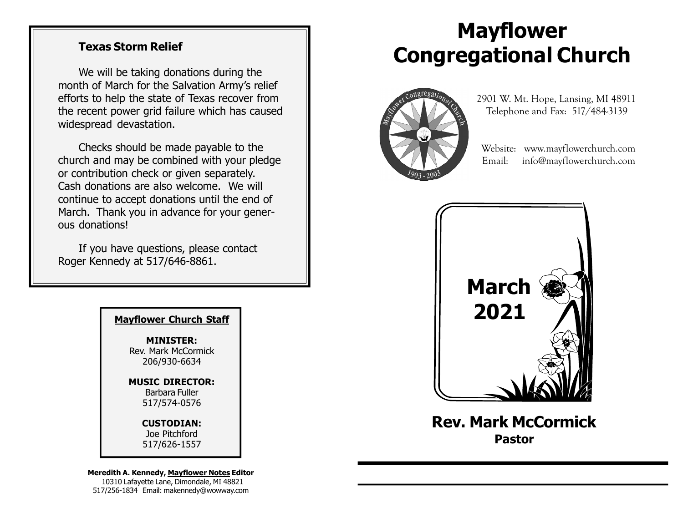### Texas Storm Relief

We will be taking donations during the month of March for the Salvation Army's relief efforts to help the state of Texas recover from the recent power grid failure which has caused widespread devastation.

Checks should be made payable to the church and may be combined with your pledge or contribution check or given separately. Cash donations are also welcome. We will continue to accept donations until the end of March. Thank you in advance for your generous donations!

If you have questions, please contact Roger Kennedy at 517/646-8861.

MINISTER: Rev. Mark McCormick 206/930-6634

MUSIC DIRECTOR: Barbara Fuller 517/574-0576

#### CUSTODIAN:

Joe Pitchford 517/626-1557

Meredith A. Kennedy, Mayflower Notes Editor 10310 Lafayette Lane, Dimondale, MI 48821 517/256-1834 Email: makennedy@wowway.com

# Mayflower Congregational Church



 2901 W. Mt. Hope, Lansing, MI 48911 Telephone and Fax: 517/484-3139

 Website: www.mayflowerchurch.com Email: info@mayflowerchurch.com



Rev. Mark McCormick Pastor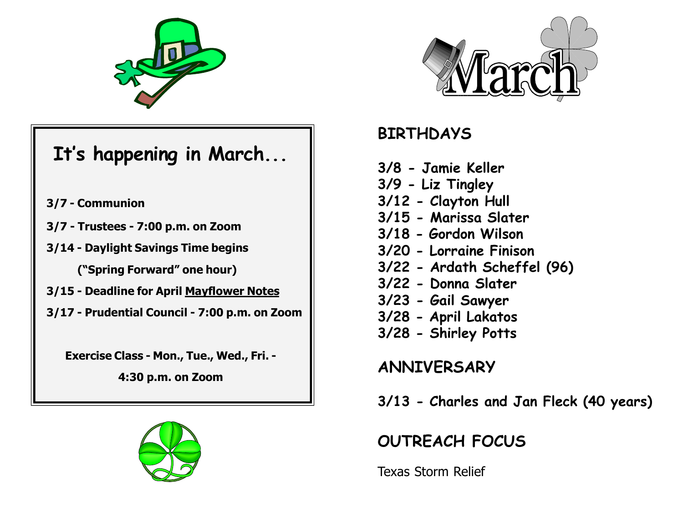

# It's happening in March...

- 3/7 Communion
- 3/7 Trustees 7:00 p.m. on Zoom
- 3/14 Daylight Savings Time begins

("Spring Forward" one hour)

- 3/15 Deadline for April Mayflower Notes
- 3/17 Prudential Council 7:00 p.m. on Zoom

Exercise Class - Mon., Tue., Wed., Fri. -

4:30 p.m. on Zoom





### BIRTHDAYS

- 3/8 Jamie Keller 3/9 - Liz Tingley
- 3/12 Clayton Hull
- 3/15 Marissa Slater
- 3/18 Gordon Wilson
- 3/20 Lorraine Finison
- 3/22 Ardath Scheffel (96)
- 3/22 Donna Slater
- 3/23 Gail Sawyer
- 3/28 April Lakatos
- 3/28 Shirley Potts

ANNIVERSARY

3/13 - Charles and Jan Fleck (40 years)

## OUTREACH FOCUS

Texas Storm Relief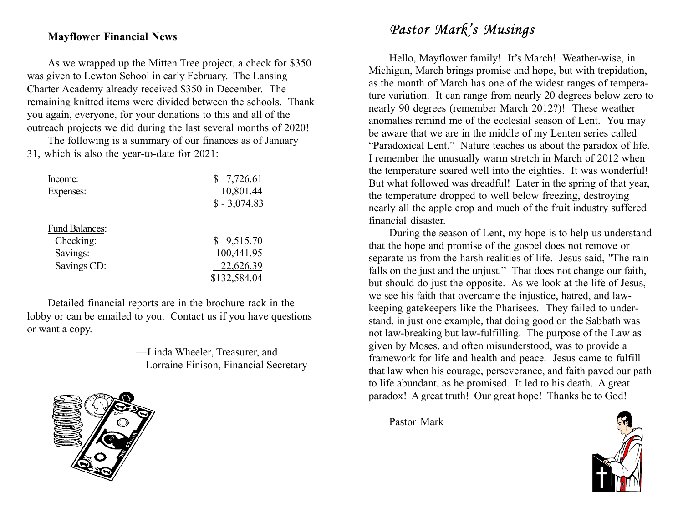### Mayflower Financial News

As we wrapped up the Mitten Tree project, a check for \$350 was given to Lewton School in early February. The Lansing Charter Academy already received \$350 in December. The remaining knitted items were divided between the schools. Thank you again, everyone, for your donations to this and all of the outreach projects we did during the last several months of 2020!

The following is a summary of our finances as of January 31, which is also the year-to-date for 2021:

| Income:               | \$7,726.61    |
|-----------------------|---------------|
| Expenses:             | 10,801.44     |
|                       | $$ -3,074.83$ |
| <b>Fund Balances:</b> |               |
| Checking:             | \$9,515.70    |
| Savings:              | 100,441.95    |
| Savings CD:           | 22,626.39     |
|                       | \$132,584.04  |

Detailed financial reports are in the brochure rack in the lobby or can be emailed to you. Contact us if you have questions or want a copy.

> —Linda Wheeler, Treasurer, and Lorraine Finison, Financial Secretary



### Pastor Mark's Musings

Hello, Mayflower family! It's March! Weather-wise, in Michigan, March brings promise and hope, but with trepidation, as the month of March has one of the widest ranges of temperature variation. It can range from nearly 20 degrees below zero to nearly 90 degrees (remember March 2012?)! These weather anomalies remind me of the ecclesial season of Lent. You may be aware that we are in the middle of my Lenten series called "Paradoxical Lent." Nature teaches us about the paradox of life. I remember the unusually warm stretch in March of 2012 when the temperature soared well into the eighties. It was wonderful! But what followed was dreadful! Later in the spring of that year, the temperature dropped to well below freezing, destroying nearly all the apple crop and much of the fruit industry suffered financial disaster.

During the season of Lent, my hope is to help us understand that the hope and promise of the gospel does not remove or separate us from the harsh realities of life. Jesus said, "The rain falls on the just and the unjust." That does not change our faith, but should do just the opposite. As we look at the life of Jesus, we see his faith that overcame the injustice, hatred, and lawkeeping gatekeepers like the Pharisees. They failed to understand, in just one example, that doing good on the Sabbath was not law-breaking but law-fulfilling. The purpose of the Law as given by Moses, and often misunderstood, was to provide a framework for life and health and peace. Jesus came to fulfill that law when his courage, perseverance, and faith paved our path to life abundant, as he promised. It led to his death. A great paradox! A great truth! Our great hope! Thanks be to God!

Pastor Mark